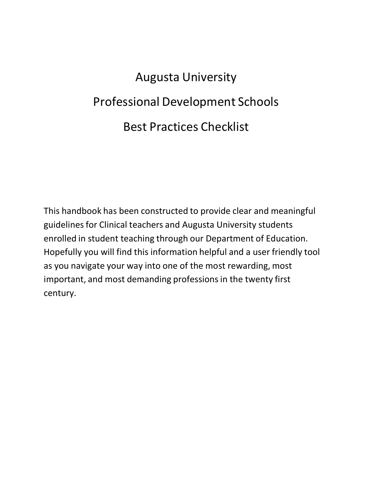# Augusta University Professional Development Schools Best Practices Checklist

This handbook has been constructed to provide clear and meaningful guidelines for Clinical teachers and Augusta University students enrolled in student teaching through our Department of Education. Hopefully you will find this information helpful and a user friendly tool as you navigate your way into one of the most rewarding, most important, and most demanding professions in the twenty first century.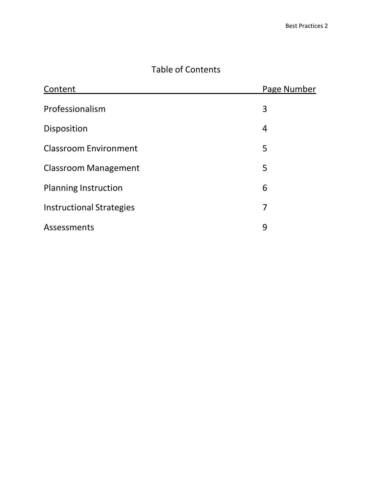# Table of Contents

| Content                         | Page Number |
|---------------------------------|-------------|
| Professionalism                 | 3           |
| Disposition                     | 4           |
| <b>Classroom Environment</b>    | 5           |
| <b>Classroom Management</b>     | 5           |
| <b>Planning Instruction</b>     | 6           |
| <b>Instructional Strategies</b> | 7           |
| Assessments                     | 9           |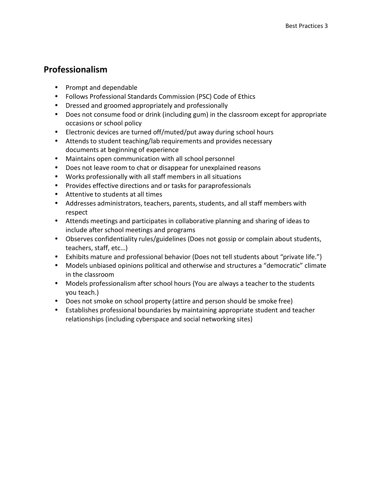# **Professionalism**

- Prompt and dependable
- Follows Professional Standards Commission (PSC) Code of Ethics
- Dressed and groomed appropriately and professionally
- Does not consume food or drink (including gum) in the classroom except for appropriate occasions or school policy
- Electronic devices are turned off/muted/put away during school hours
- Attends to student teaching/lab requirements and provides necessary documents at beginning of experience
- Maintains open communication with all school personnel
- Does not leave room to chat or disappear for unexplained reasons
- Works professionally with all staff members in all situations
- Provides effective directions and or tasks for paraprofessionals
- Attentive to students at all times
- Addresses administrators, teachers, parents, students, and all staff members with respect
- Attends meetings and participates in collaborative planning and sharing of ideas to include after school meetings and programs
- Observes confidentiality rules/guidelines (Does not gossip or complain about students, teachers, staff, etc…)
- Exhibits mature and professional behavior (Does not tell students about "private life.")
- Models unbiased opinions political and otherwise and structures a "democratic" climate in the classroom
- Models professionalism after school hours (You are always a teacher to the students you teach.)
- Does not smoke on school property (attire and person should be smoke free)
- Establishes professional boundaries by maintaining appropriate student and teacher relationships (including cyberspace and social networking sites)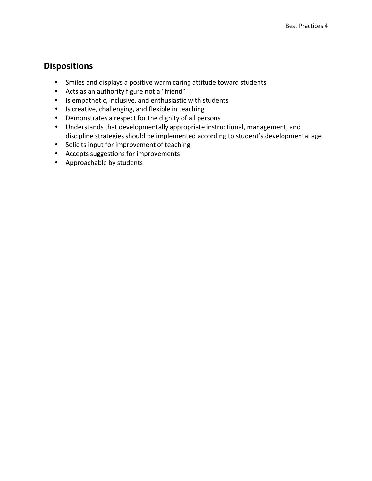#### **Dispositions**

- Smiles and displays a positive warm caring attitude toward students
- Acts as an authority figure not a "friend"
- Is empathetic, inclusive, and enthusiastic with students
- Is creative, challenging, and flexible in teaching
- Demonstrates a respect for the dignity of all persons
- Understands that developmentally appropriate instructional, management, and discipline strategies should be implemented according to student's developmental age
- Solicits input for improvement of teaching
- Accepts suggestions for improvements
- Approachable by students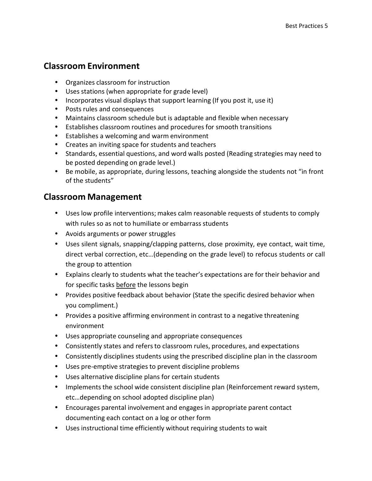## **Classroom Environment**

- Organizes classroom for instruction
- Uses stations (when appropriate for grade level)
- Incorporates visual displays that support learning (If you post it, use it)
- Posts rules and consequences
- Maintains classroom schedule but is adaptable and flexible when necessary
- Establishes classroom routines and procedures for smooth transitions
- Establishes a welcoming and warm environment
- Creates an inviting space for students and teachers
- Standards, essential questions, and word walls posted (Reading strategies may need to be posted depending on grade level.)
- Be mobile, as appropriate, during lessons, teaching alongside the students not "in front of the students"

#### **Classroom Management**

- Uses low profile interventions; makes calm reasonable requests of students to comply with rules so as not to humiliate or embarrass students
- Avoids arguments or power struggles
- Uses silent signals, snapping/clapping patterns, close proximity, eye contact, wait time, direct verbal correction, etc…(depending on the grade level) to refocus students or call the group to attention
- Explains clearly to students what the teacher's expectations are for their behavior and for specific tasks before the lessons begin
- Provides positive feedback about behavior (State the specific desired behavior when you compliment.)
- Provides a positive affirming environment in contrast to a negative threatening environment
- Uses appropriate counseling and appropriate consequences
- Consistently states and refers to classroom rules, procedures, and expectations
- Consistently disciplines students using the prescribed discipline plan in the classroom
- Uses pre-emptive strategies to prevent discipline problems
- Uses alternative discipline plans for certain students
- Implements the school wide consistent discipline plan (Reinforcement reward system, etc…depending on school adopted discipline plan)
- Encourages parental involvement and engagesin appropriate parent contact documenting each contact on a log or other form
- Uses instructional time efficiently without requiring students to wait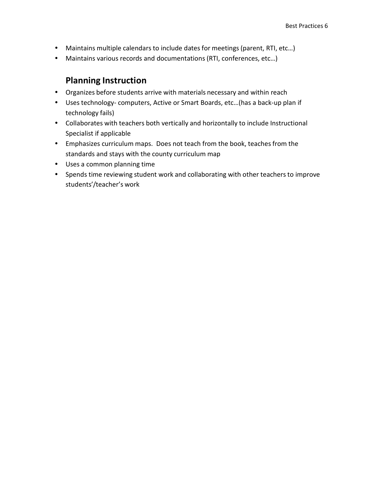- Maintains multiple calendars to include dates for meetings (parent, RTI, etc…)
- Maintains various records and documentations (RTI, conferences, etc…)

#### **Planning Instruction**

- Organizes before students arrive with materials necessary and within reach
- Uses technology- computers, Active or Smart Boards, etc…(has a back-up plan if technology fails)
- Collaborates with teachers both vertically and horizontally to include Instructional Specialist if applicable
- Emphasizes curriculum maps. Does not teach from the book, teaches from the standards and stays with the county curriculum map
- Uses a common planning time
- Spends time reviewing student work and collaborating with other teachers to improve students'/teacher's work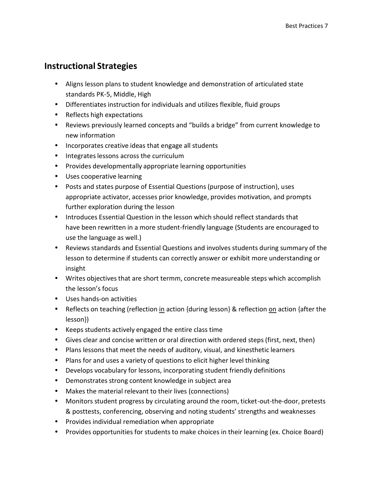## **Instructional Strategies**

- Aligns lesson plans to student knowledge and demonstration of articulated state standards PK-5, Middle, High
- Differentiates instruction for individuals and utilizes flexible, fluid groups
- Reflects high expectations
- Reviews previously learned concepts and "builds a bridge" from current knowledge to new information
- Incorporates creative ideas that engage all students
- Integrates lessons across the curriculum
- Provides developmentally appropriate learning opportunities
- Uses cooperative learning
- Posts and states purpose of Essential Questions (purpose of instruction), uses appropriate activator, accesses prior knowledge, provides motivation, and prompts further exploration during the lesson
- Introduces Essential Question in the lesson which should reflect standards that have been rewritten in a more student-friendly language (Students are encouraged to use the language as well.)
- Reviews standards and Essential Questions and involves students during summary of the lesson to determine if students can correctly answer or exhibit more understanding or insight
- Writes objectives that are short termm, concrete measureable steps which accomplish the lesson's focus
- Uses hands-on activities
- Reflects on teaching (reflection in action {during lesson} & reflection on action {after the lesson})
- Keeps students actively engaged the entire class time
- Gives clear and concise written or oral direction with ordered steps (first, next, then)
- Plans lessons that meet the needs of auditory, visual, and kinesthetic learners
- Plans for and uses a variety of questions to elicit higher level thinking
- Develops vocabulary for lessons, incorporating student friendly definitions
- Demonstrates strong content knowledge in subject area
- Makes the material relevant to their lives (connections)
- Monitors student progress by circulating around the room, ticket-out-the-door, pretests & posttests, conferencing, observing and noting students' strengths and weaknesses
- Provides individual remediation when appropriate
- Provides opportunities for students to make choices in their learning (ex. Choice Board)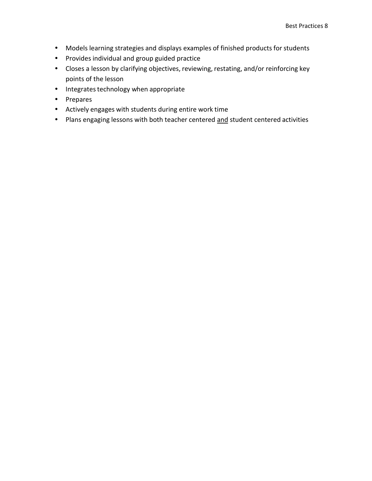- Models learning strategies and displays examples of finished products for students
- Provides individual and group guided practice
- Closes a lesson by clarifying objectives, reviewing, restating, and/or reinforcing key points of the lesson
- Integrates technology when appropriate
- Prepares
- Actively engages with students during entire work time
- Plans engaging lessons with both teacher centered and student centered activities